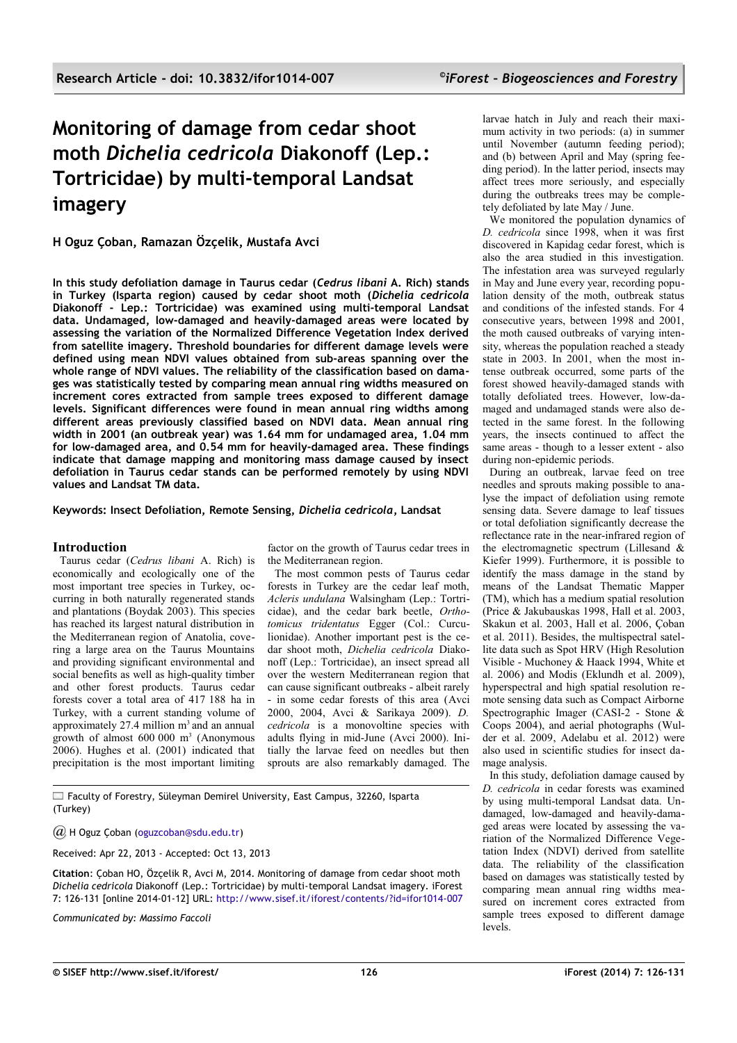# **Monitoring of damage from cedar shoot moth** *Dichelia cedricola* **Diakonoff (Lep.: Tortricidae) by multi-temporal Landsat imagery**

**H Oguz Çoban, Ramazan Özçelik, Mustafa Avci**

**In this study defoliation damage in Taurus cedar (***Cedrus libani* **A. Rich) stands in Turkey (Isparta region) caused by cedar shoot moth (***Dichelia cedricola* **Diakonoff - Lep.: Tortricidae) was examined using multi-temporal Landsat data. Undamaged, low-damaged and heavily-damaged areas were located by assessing the variation of the Normalized Difference Vegetation Index derived from satellite imagery. Threshold boundaries for different damage levels were defined using mean NDVI values obtained from sub-areas spanning over the whole range of NDVI values. The reliability of the classification based on damages was statistically tested by comparing mean annual ring widths measured on increment cores extracted from sample trees exposed to different damage levels. Significant differences were found in mean annual ring widths among different areas previously classified based on NDVI data. Mean annual ring width in 2001 (an outbreak year) was 1.64 mm for undamaged area, 1.04 mm for low-damaged area, and 0.54 mm for heavily-damaged area. These findings indicate that damage mapping and monitoring mass damage caused by insect defoliation in Taurus cedar stands can be performed remotely by using NDVI values and Landsat TM data.**

**Keywords: Insect Defoliation, Remote Sensing,** *Dichelia cedricola***, Landsat**

## **Introduction**

Taurus cedar (*Cedrus libani* A. Rich) is economically and ecologically one of the most important tree species in Turkey, occurring in both naturally regenerated stands and plantations (Boydak 2003). This species has reached its largest natural distribution in the Mediterranean region of Anatolia, covering a large area on the Taurus Mountains and providing significant environmental and social benefits as well as high-quality timber and other forest products. Taurus cedar forests cover a total area of 417 188 ha in Turkey, with a current standing volume of approximately 27.4 million  $m<sup>3</sup>$  and an annual growth of almost  $600\,000\,$  m<sup>3</sup> (Anonymous 2006). Hughes et al. (2001) indicated that precipitation is the most important limiting

factor on the growth of Taurus cedar trees in the Mediterranean region.

The most common pests of Taurus cedar forests in Turkey are the cedar leaf moth, *Acleris undulana* Walsingham (Lep.: Tortricidae), and the cedar bark beetle, *Orthotomicus tridentatus* Egger (Col.: Curculionidae). Another important pest is the cedar shoot moth, *Dichelia cedricola* Diakonoff (Lep.: Tortricidae), an insect spread all over the western Mediterranean region that can cause significant outbreaks - albeit rarely - in some cedar forests of this area (Avci 2000, 2004, Avci & Sarikaya 2009). *D. cedricola* is a monovoltine species with adults flying in mid-June (Avci 2000). Initially the larvae feed on needles but then sprouts are also remarkably damaged. The

Faculty of Forestry, Süleyman Demirel University, East Campus, 32260, Isparta (Turkey)

*@* H Oguz Çoban [\(oguzcoban@sdu.edu.tr\)](mailto:)

Received: Apr 22, 2013 - Accepted: Oct 13, 2013

**Citation**: Çoban HO, Özçelik R, Avci M, 2014. Monitoring of damage from cedar shoot moth *Dichelia cedricola* Diakonoff (Lep.: Tortricidae) by multi-temporal Landsat imagery. iForest 7: 126-131 [online 2014-01-12] URL:<http://www.sisef.it/iforest/contents/?id=ifor1014-007>

*Communicated by: Massimo Faccoli*

larvae hatch in July and reach their maximum activity in two periods: (a) in summer until November (autumn feeding period); and (b) between April and May (spring feeding period). In the latter period, insects may affect trees more seriously, and especially during the outbreaks trees may be completely defoliated by late May / June.

We monitored the population dynamics of *D. cedricola* since 1998, when it was first discovered in Kapidag cedar forest, which is also the area studied in this investigation. The infestation area was surveyed regularly in May and June every year, recording population density of the moth, outbreak status and conditions of the infested stands. For 4 consecutive years, between 1998 and 2001, the moth caused outbreaks of varying intensity, whereas the population reached a steady state in 2003. In 2001, when the most intense outbreak occurred, some parts of the forest showed heavily-damaged stands with totally defoliated trees. However, low-damaged and undamaged stands were also detected in the same forest. In the following years, the insects continued to affect the same areas - though to a lesser extent - also during non-epidemic periods.

During an outbreak, larvae feed on tree needles and sprouts making possible to analyse the impact of defoliation using remote sensing data. Severe damage to leaf tissues or total defoliation significantly decrease the reflectance rate in the near-infrared region of the electromagnetic spectrum (Lillesand & Kiefer 1999). Furthermore, it is possible to identify the mass damage in the stand by means of the Landsat Thematic Mapper (TM), which has a medium spatial resolution (Price & Jakubauskas 1998, Hall et al. 2003, Skakun et al. 2003, Hall et al. 2006, Çoban et al. 2011). Besides, the multispectral satellite data such as Spot HRV (High Resolution Visible - Muchoney & Haack 1994, White et al. 2006) and Modis (Eklundh et al. 2009), hyperspectral and high spatial resolution remote sensing data such as Compact Airborne Spectrographic Imager (CASI-2 - Stone & Coops 2004), and aerial photographs (Wulder et al.  $2009$ . Adelabu et al.  $2012$ ) were also used in scientific studies for insect damage analysis.

In this study, defoliation damage caused by *D. cedricola* in cedar forests was examined by using multi-temporal Landsat data. Undamaged, low-damaged and heavily-damaged areas were located by assessing the variation of the Normalized Difference Vegetation Index (NDVI) derived from satellite data. The reliability of the classification based on damages was statistically tested by comparing mean annual ring widths measured on increment cores extracted from sample trees exposed to different damage levels.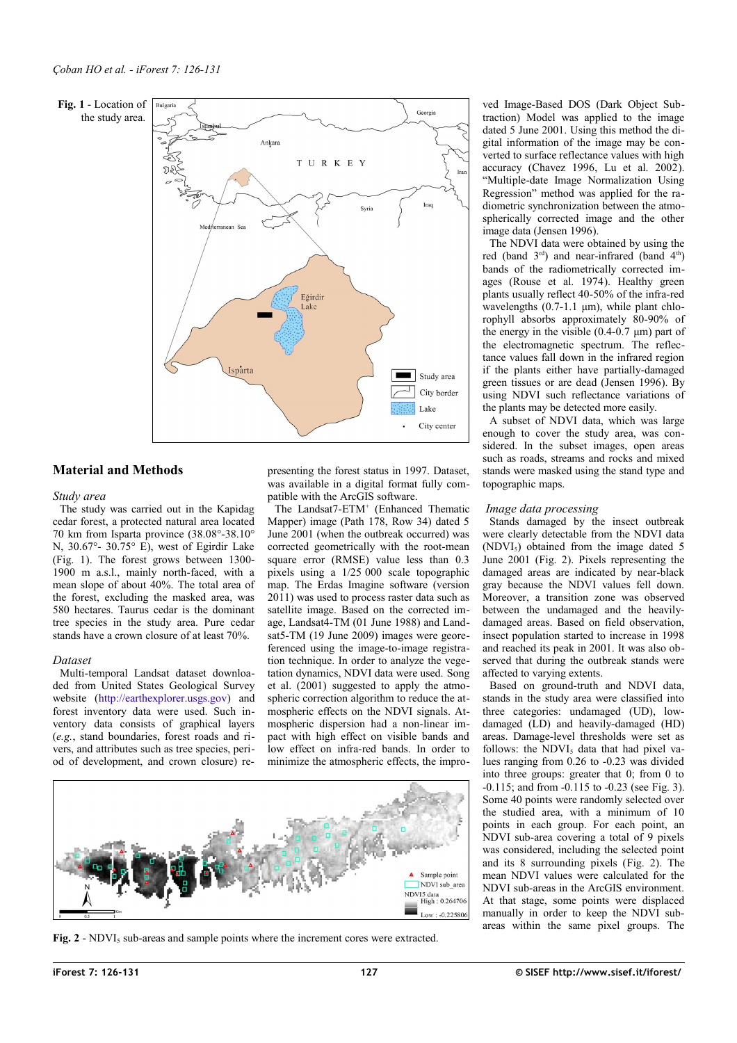#### <span id="page-1-0"></span>**Fig. 1** - Location of the study area.





## **Material and Methods**

## *Study area*

The study was carried out in the Kapidag cedar forest, a protected natural area located 70 km from Isparta province (38.08°-38.10° N, 30.67°- 30.75° E), west of Egirdir Lake [\(Fig. 1\)](#page-1-0). The forest grows between 1300- 1900 m a.s.l., mainly north-faced, with a mean slope of about 40%. The total area of the forest, excluding the masked area, was 580 hectares. Taurus cedar is the dominant tree species in the study area. Pure cedar stands have a crown closure of at least 70%.

## *Dataset*

Multi-temporal Landsat dataset downloaded from United States Geological Survey website [\(http://earthexplorer.usgs.gov\)](http://earthexplorer.usgs.gov/) and forest inventory data were used. Such inventory data consists of graphical layers (*e.g.*, stand boundaries, forest roads and rivers, and attributes such as tree species, period of development, and crown closure) representing the forest status in 1997. Dataset, was available in a digital format fully compatible with the ArcGIS software.

The Landsat7-ETM<sup>+</sup> (Enhanced Thematic Mapper) image (Path 178, Row 34) dated 5 June 2001 (when the outbreak occurred) was corrected geometrically with the root-mean square error (RMSE) value less than 0.3 pixels using a 1/25 000 scale topographic map. The Erdas Imagine software (version 2011) was used to process raster data such as satellite image. Based on the corrected image, Landsat4-TM (01 June 1988) and Landsat5-TM (19 June 2009) images were georeferenced using the image-to-image registration technique. In order to analyze the vegetation dynamics, NDVI data were used. Song et al.  $(2001)$  suggested to apply the atmospheric correction algorithm to reduce the atmospheric effects on the NDVI signals. Atmospheric dispersion had a non-linear impact with high effect on visible bands and low effect on infra-red bands. In order to minimize the atmospheric effects, the impro-



<span id="page-1-1"></span>Fig. 2 - NDVI<sub>5</sub> sub-areas and sample points where the increment cores were extracted.

ved Image-Based DOS (Dark Object Subtraction) Model was applied to the image dated 5 June 2001. Using this method the digital information of the image may be converted to surface reflectance values with high accuracy (Chavez 1996, Lu et al. 2002). "Multiple-date Image Normalization Using Regression" method was applied for the radiometric synchronization between the atmospherically corrected image and the other image data (Jensen 1996).

The NDVI data were obtained by using the red (band  $3<sup>rd</sup>$ ) and near-infrared (band  $4<sup>th</sup>$ ) bands of the radiometrically corrected images (Rouse et al. 1974). Healthy green plants usually reflect 40-50% of the infra-red wavelengths  $(0.7-1.1 \text{ µm})$ , while plant chlorophyll absorbs approximately 80-90% of the energy in the visible (0.4-0.7 μm) part of the electromagnetic spectrum. The reflectance values fall down in the infrared region if the plants either have partially-damaged green tissues or are dead (Jensen 1996). By using NDVI such reflectance variations of the plants may be detected more easily.

A subset of NDVI data, which was large enough to cover the study area, was considered. In the subset images, open areas such as roads, streams and rocks and mixed stands were masked using the stand type and topographic maps.

## *Image data processing*

Stands damaged by the insect outbreak were clearly detectable from the NDVI data  $(NDVI<sub>5</sub>)$  obtained from the image dated 5 June 2001 [\(Fig. 2\)](#page-1-1). Pixels representing the damaged areas are indicated by near-black gray because the NDVI values fell down. Moreover, a transition zone was observed between the undamaged and the heavilydamaged areas. Based on field observation, insect population started to increase in 1998 and reached its peak in 2001. It was also observed that during the outbreak stands were affected to varying extents.

Based on ground-truth and NDVI data, stands in the study area were classified into three categories: undamaged (UD), lowdamaged (LD) and heavily-damaged (HD) areas. Damage-level thresholds were set as follows: the NDVI<sub>5</sub> data that had pixel values ranging from 0.26 to -0.23 was divided into three groups: greater that 0; from 0 to -0.115; and from -0.115 to -0.23 (see [Fig. 3\)](#page-2-0). Some 40 points were randomly selected over the studied area, with a minimum of 10 points in each group. For each point, an NDVI sub-area covering a total of 9 pixels was considered, including the selected point and its 8 surrounding pixels [\(Fig. 2\)](#page-1-1). The mean NDVI values were calculated for the NDVI sub-areas in the ArcGIS environment. At that stage, some points were displaced manually in order to keep the NDVI subareas within the same pixel groups. The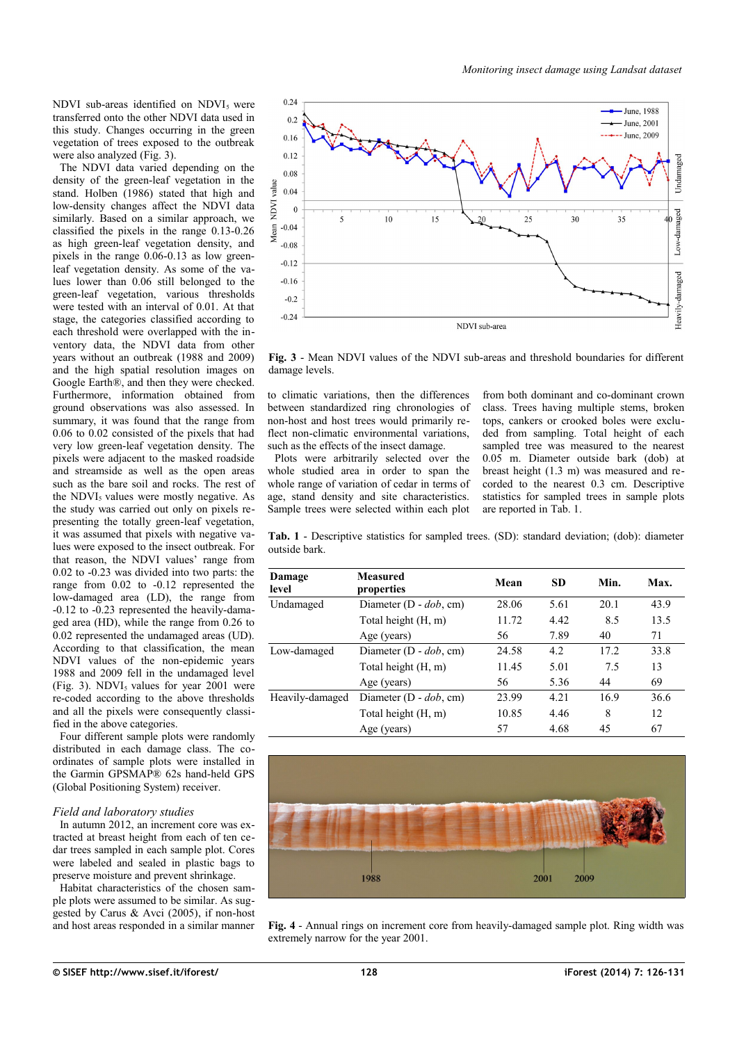NDVI sub-areas identified on  $NDVI<sub>5</sub>$  were transferred onto the other NDVI data used in this study. Changes occurring in the green vegetation of trees exposed to the outbreak were also analyzed [\(Fig. 3\)](#page-2-0).

The NDVI data varied depending on the density of the green-leaf vegetation in the stand. Holben (1986) stated that high and low-density changes affect the NDVI data similarly. Based on a similar approach, we classified the pixels in the range 0.13-0.26 as high green-leaf vegetation density, and pixels in the range 0.06-0.13 as low greenleaf vegetation density. As some of the values lower than 0.06 still belonged to the green-leaf vegetation, various thresholds were tested with an interval of 0.01. At that stage, the categories classified according to each threshold were overlapped with the inventory data, the NDVI data from other years without an outbreak (1988 and 2009) and the high spatial resolution images on Google Earth®, and then they were checked. Furthermore, information obtained from ground observations was also assessed. In summary, it was found that the range from 0.06 to 0.02 consisted of the pixels that had very low green-leaf vegetation density. The pixels were adjacent to the masked roadside and streamside as well as the open areas such as the bare soil and rocks. The rest of the NDVI<sub>5</sub> values were mostly negative. As the study was carried out only on pixels representing the totally green-leaf vegetation, it was assumed that pixels with negative values were exposed to the insect outbreak. For that reason, the NDVI values' range from 0.02 to -0.23 was divided into two parts: the range from 0.02 to -0.12 represented the low-damaged area (LD), the range from -0.12 to -0.23 represented the heavily-damaged area (HD), while the range from 0.26 to 0.02 represented the undamaged areas (UD). According to that classification, the mean NDVI values of the non-epidemic years 1988 and 2009 fell in the undamaged level [\(Fig. 3\)](#page-2-0). NDVI<sub>5</sub> values for year  $2001$  were re-coded according to the above thresholds and all the pixels were consequently classified in the above categories.

Four different sample plots were randomly distributed in each damage class. The coordinates of sample plots were installed in the Garmin GPSMAP® 62s hand-held GPS (Global Positioning System) receiver.

#### *Field and laboratory studies*

In autumn 2012, an increment core was extracted at breast height from each of ten cedar trees sampled in each sample plot. Cores were labeled and sealed in plastic bags to preserve moisture and prevent shrinkage.

Habitat characteristics of the chosen sample plots were assumed to be similar. As suggested by Carus & Avci (2005), if non-host and host areas responded in a similar manner



<span id="page-2-0"></span>**Fig. 3** - Mean NDVI values of the NDVI sub-areas and threshold boundaries for different damage levels.

to climatic variations, then the differences between standardized ring chronologies of non-host and host trees would primarily reflect non-climatic environmental variations. such as the effects of the insect damage.

Plots were arbitrarily selected over the whole studied area in order to span the whole range of variation of cedar in terms of age, stand density and site characteristics. Sample trees were selected within each plot from both dominant and co-dominant crown class. Trees having multiple stems, broken tops, cankers or crooked boles were excluded from sampling. Total height of each sampled tree was measured to the nearest 0.05 m. Diameter outside bark (dob) at breast height (1.3 m) was measured and recorded to the nearest 0.3 cm. Descriptive statistics for sampled trees in sample plots are reported in [Tab. 1.](#page-2-1)

<span id="page-2-1"></span>**Tab. 1** - Descriptive statistics for sampled trees. (SD): standard deviation; (dob): diameter outside bark.

| Damage<br>level | <b>Measured</b><br>properties | Mean  | <b>SD</b> | Min. | Max. |
|-----------------|-------------------------------|-------|-----------|------|------|
| Undamaged       | Diameter $(D - dob, cm)$      | 28.06 | 5.61      | 20.1 | 43.9 |
|                 | Total height (H, m)           | 11.72 | 4.42      | 8.5  | 13.5 |
|                 | Age (years)                   | 56    | 7.89      | 40   | 71   |
| Low-damaged     | Diameter $(D - dob, cm)$      | 24.58 | 4.2       | 17.2 | 33.8 |
|                 | Total height (H, m)           | 11.45 | 5.01      | 7.5  | 13   |
|                 | Age (years)                   | 56    | 5.36      | 44   | 69   |
| Heavily-damaged | Diameter $(D - dob, cm)$      | 23.99 | 4.21      | 16.9 | 36.6 |
|                 | Total height (H, m)           | 10.85 | 4.46      | 8    | 12   |
|                 | Age (years)                   | 57    | 4.68      | 45   | 67   |



<span id="page-2-2"></span>**Fig. 4** - Annual rings on increment core from heavily-damaged sample plot. Ring width was extremely narrow for the year 2001.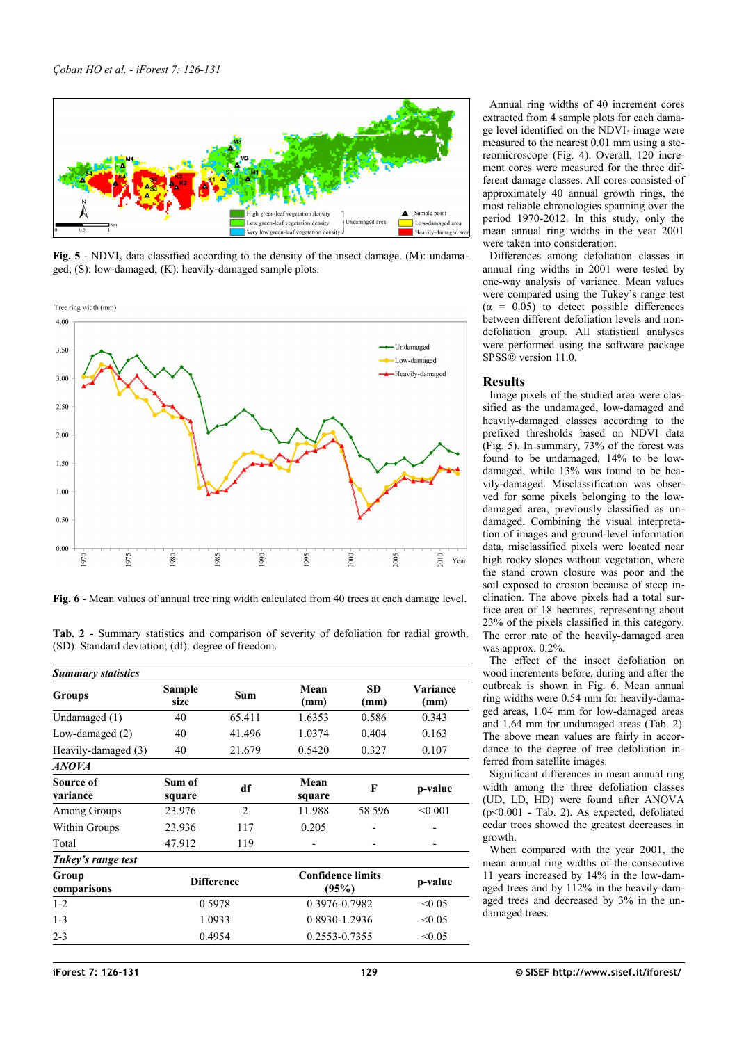

<span id="page-3-2"></span>**Fig. 5** - NDVI<sub>5</sub> data classified according to the density of the insect damage. (M): undamaged; (S): low-damaged; (K): heavily-damaged sample plots.



<span id="page-3-1"></span>**Fig. 6** - Mean values of annual tree ring width calculated from 40 trees at each damage level.

<span id="page-3-0"></span>**Tab. 2** - Summary statistics and comparison of severity of defoliation for radial growth. (SD): Standard deviation; (df): degree of freedom.

| Sample<br>size    | Sum            | Mean<br>(mm)                      | <b>SD</b><br>(mm) | Variance<br>(mm) |
|-------------------|----------------|-----------------------------------|-------------------|------------------|
| 40                | 65.411         | 1.6353                            | 0.586             | 0.343            |
| 40                | 41.496         | 1.0374                            | 0.404             | 0.163            |
| 40                | 21.679         | 0.5420                            | 0.327             | 0.107            |
|                   |                |                                   |                   |                  |
| Sum of<br>square  | df             | Mean<br>square                    | $\mathbf{F}$      | p-value          |
| 23.976            | $\overline{2}$ | 11.988                            | 58.596            | < 0.001          |
| 23.936            | 117            | 0.205                             |                   |                  |
| 47.912            | 119            |                                   |                   |                  |
|                   |                |                                   |                   |                  |
| <b>Difference</b> |                | <b>Confidence limits</b><br>(95%) |                   | p-value          |
| 0.5978            |                | 0.3976-0.7982                     |                   | < 0.05           |
| 1.0933            |                | 0.8930-1.2936                     |                   | < 0.05           |
| 0.4954            |                | 0.2553-0.7355                     |                   | < 0.05           |
|                   |                |                                   |                   |                  |

Annual ring widths of 40 increment cores extracted from 4 sample plots for each damage level identified on the  $NDVI<sub>5</sub>$  image were measured to the nearest 0.01 mm using a stereomicroscope [\(Fig. 4\)](#page-2-2). Overall, 120 increment cores were measured for the three different damage classes. All cores consisted of approximately 40 annual growth rings, the most reliable chronologies spanning over the period 1970-2012. In this study, only the mean annual ring widths in the year 2001 were taken into consideration.

Differences among defoliation classes in annual ring widths in 2001 were tested by one-way analysis of variance. Mean values were compared using the Tukey's range test  $(\alpha = 0.05)$  to detect possible differences between different defoliation levels and nondefoliation group. All statistical analyses were performed using the software package SPSS® version 11.0.

#### **Results**

Image pixels of the studied area were classified as the undamaged, low-damaged and heavily-damaged classes according to the prefixed thresholds based on NDVI data [\(Fig. 5\)](#page-3-2). In summary, 73% of the forest was found to be undamaged, 14% to be lowdamaged, while 13% was found to be heavily-damaged. Misclassification was observed for some pixels belonging to the lowdamaged area, previously classified as undamaged. Combining the visual interpretation of images and ground-level information data, misclassified pixels were located near high rocky slopes without vegetation, where the stand crown closure was poor and the soil exposed to erosion because of steep inclination. The above pixels had a total surface area of 18 hectares, representing about 23% of the pixels classified in this category. The error rate of the heavily-damaged area was approx. 0.2%.

The effect of the insect defoliation on wood increments before, during and after the outbreak is shown in [Fig. 6.](#page-3-1) Mean annual ring widths were 0.54 mm for heavily-damaged areas, 1.04 mm for low-damaged areas and 1.64 mm for undamaged areas [\(Tab. 2\)](#page-3-0). The above mean values are fairly in accordance to the degree of tree defoliation inferred from satellite images.

Significant differences in mean annual ring width among the three defoliation classes (UD, LD, HD) were found after ANOVA (p<0.001 - [Tab. 2\)](#page-3-0). As expected, defoliated cedar trees showed the greatest decreases in growth.

When compared with the year 2001, the mean annual ring widths of the consecutive 11 years increased by 14% in the low-damaged trees and by 112% in the heavily-damaged trees and decreased by 3% in the undamaged trees.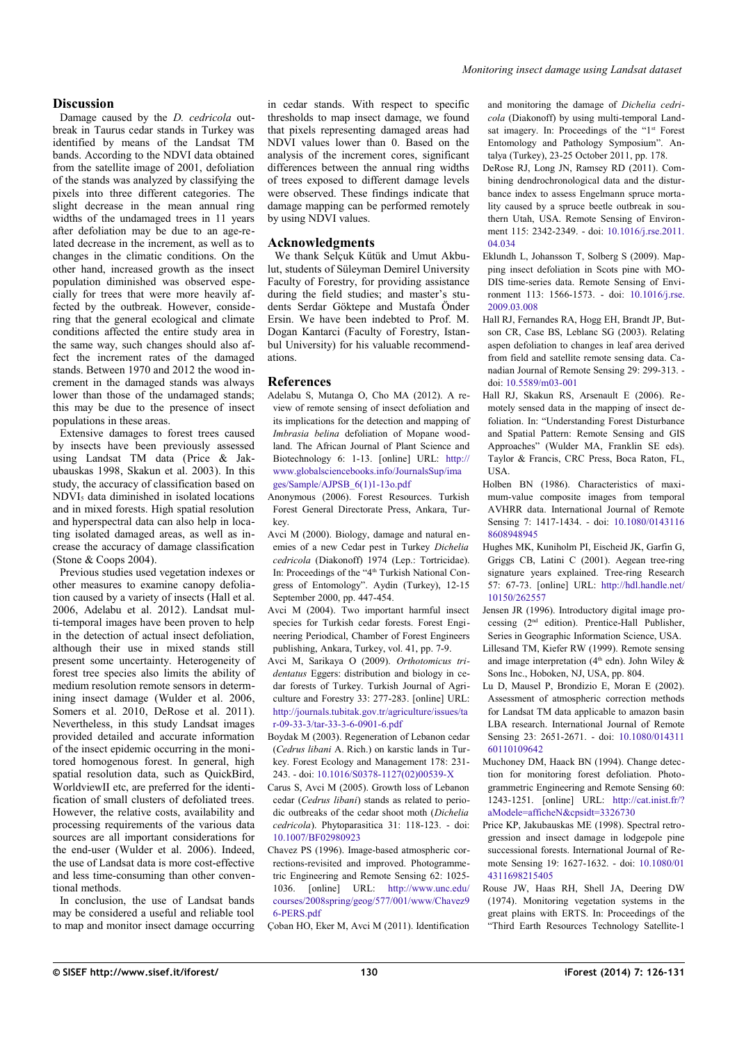## **Discussion**

Damage caused by the *D. cedricola* outbreak in Taurus cedar stands in Turkey was identified by means of the Landsat TM bands. According to the NDVI data obtained from the satellite image of 2001, defoliation of the stands was analyzed by classifying the pixels into three different categories. The slight decrease in the mean annual ring widths of the undamaged trees in 11 years after defoliation may be due to an age-related decrease in the increment, as well as to changes in the climatic conditions. On the other hand, increased growth as the insect population diminished was observed especially for trees that were more heavily affected by the outbreak. However, considering that the general ecological and climate conditions affected the entire study area in the same way, such changes should also affect the increment rates of the damaged stands. Between 1970 and 2012 the wood increment in the damaged stands was always lower than those of the undamaged stands; this may be due to the presence of insect populations in these areas.

Extensive damages to forest trees caused by insects have been previously assessed using Landsat TM data (Price & Jakubauskas 1998, Skakun et al. 2003). In this study, the accuracy of classification based on NDVI5 data diminished in isolated locations and in mixed forests. High spatial resolution and hyperspectral data can also help in locating isolated damaged areas, as well as increase the accuracy of damage classification (Stone & Coops 2004).

Previous studies used vegetation indexes or other measures to examine canopy defoliation caused by a variety of insects (Hall et al. 2006, Adelabu et al. 2012). Landsat multi-temporal images have been proven to help in the detection of actual insect defoliation, although their use in mixed stands still present some uncertainty. Heterogeneity of forest tree species also limits the ability of medium resolution remote sensors in determining insect damage (Wulder et al. 2006, Somers et al. 2010, DeRose et al. 2011). Nevertheless, in this study Landsat images provided detailed and accurate information of the insect epidemic occurring in the monitored homogenous forest. In general, high spatial resolution data, such as QuickBird, WorldviewII etc, are preferred for the identification of small clusters of defoliated trees. However, the relative costs, availability and processing requirements of the various data sources are all important considerations for the end-user (Wulder et al. 2006). Indeed, the use of Landsat data is more cost-effective and less time-consuming than other conventional methods.

In conclusion, the use of Landsat bands may be considered a useful and reliable tool to map and monitor insect damage occurring in cedar stands. With respect to specific thresholds to map insect damage, we found that pixels representing damaged areas had NDVI values lower than 0. Based on the analysis of the increment cores, significant differences between the annual ring widths of trees exposed to different damage levels were observed. These findings indicate that damage mapping can be performed remotely by using NDVI values.

## **Acknowledgments**

We thank Selçuk Kütük and Umut Akbulut, students of Süleyman Demirel University Faculty of Forestry, for providing assistance during the field studies; and master's students Serdar Göktepe and Mustafa Önder Ersin. We have been indebted to Prof. M. Dogan Kantarci (Faculty of Forestry, Istanbul University) for his valuable recommendations.

## **References**

- Adelabu S, Mutanga O, Cho MA (2012). A review of remote sensing of insect defoliation and its implications for the detection and mapping of *Imbrasia belina* defoliation of Mopane woodland. The African Journal of Plant Science and Biotechnology 6: 1-13. [online] URL: [http://](http://www.globalsciencebooks.info/JournalsSup/images/Sample/AJPSB_6(1)1-13o.pdf) [www.globalsciencebooks.info/JournalsSup/ima](http://www.globalsciencebooks.info/JournalsSup/images/Sample/AJPSB_6(1)1-13o.pdf) [ges/Sample/AJPSB\\_6\(1\)1-13o.pdf](http://www.globalsciencebooks.info/JournalsSup/images/Sample/AJPSB_6(1)1-13o.pdf)
- Anonymous (2006). Forest Resources. Turkish Forest General Directorate Press, Ankara, Turkey.
- Avci M (2000). Biology, damage and natural enemies of a new Cedar pest in Turkey *Dichelia cedricola* (Diakonoff) 1974 (Lep.: Tortricidae). In: Proceedings of the "4<sup>th</sup> Turkish National Congress of Entomology". Aydin (Turkey), 12-15 September 2000, pp. 447-454.
- Avci M (2004). Two important harmful insect species for Turkish cedar forests. Forest Engineering Periodical, Chamber of Forest Engineers publishing, Ankara, Turkey, vol. 41, pp. 7-9.
- Avci M, Sarikaya O (2009). *Orthotomicus tridentatus* Eggers: distribution and biology in cedar forests of Turkey. Turkish Journal of Agriculture and Forestry 33: 277-283. [online] URL: [http://journals.tubitak.gov.tr/agriculture/issues/ta](http://journals.tubitak.gov.tr/agriculture/issues/tar-09-33-3/tar-33-3-6-0901-6.pdf) [r-09-33-3/tar-33-3-6-0901-6.pdf](http://journals.tubitak.gov.tr/agriculture/issues/tar-09-33-3/tar-33-3-6-0901-6.pdf)
- Boydak M (2003). Regeneration of Lebanon cedar (*Cedrus libani* A. Rich.) on karstic lands in Turkey. Forest Ecology and Management 178: 231- 243. - doi: [10.1016/S0378-1127\(02\)00539-X](http://dx.doi.org/10.1016/S0378-1127(02)00539-X)
- Carus S, Avci M (2005). Growth loss of Lebanon cedar (*Cedrus libani*) stands as related to periodic outbreaks of the cedar shoot moth (*Dichelia cedricola*). Phytoparasitica 31: 118-123. - doi: [10.1007/BF02980923](http://dx.doi.org/10.1007/BF02980923)
- Chavez PS (1996). Image-based atmospheric corrections-revisited and improved. Photogrammetric Engineering and Remote Sensing 62: 1025- 1036. [online] URL: [http://www.unc.edu/](http://www.unc.edu/courses/2008spring/geog/577/001/www/Chavez96-PERS.pdf) [courses/2008spring/geog/577/001/www/Chavez9](http://www.unc.edu/courses/2008spring/geog/577/001/www/Chavez96-PERS.pdf) 6-PERS ndf
- Çoban HO, Eker M, Avci M (2011). Identification

and monitoring the damage of *Dichelia cedricola* (Diakonoff) by using multi-temporal Landsat imagery. In: Proceedings of the "1<sup>st</sup> Forest Entomology and Pathology Symposium". Antalya (Turkey), 23-25 October 2011, pp. 178.

- DeRose RJ, Long JN, Ramsey RD (2011). Combining dendrochronological data and the disturbance index to assess Engelmann spruce mortality caused by a spruce beetle outbreak in southern Utah, USA. Remote Sensing of Environment 115: 2342-2349. - doi: [10.1016/j.rse.2011.](http://dx.doi.org/10.1016/j.rse.2011.04.034) [04.034](http://dx.doi.org/10.1016/j.rse.2011.04.034)
- Eklundh L, Johansson T, Solberg S (2009). Mapping insect defoliation in Scots pine with MO-DIS time-series data. Remote Sensing of Environment 113: 1566-1573. - doi: [10.1016/j.rse.](http://dx.doi.org/10.1016/j.rse.2009.03.008) [2009.03.008](http://dx.doi.org/10.1016/j.rse.2009.03.008)
- Hall RJ, Fernandes RA, Hogg EH, Brandt JP, Butson CR, Case BS, Leblanc SG (2003). Relating aspen defoliation to changes in leaf area derived from field and satellite remote sensing data. Canadian Journal of Remote Sensing 29: 299-313. doi: [10.5589/m03-001](http://dx.doi.org/10.5589/m03-001)
- Hall RJ, Skakun RS, Arsenault E (2006). Remotely sensed data in the mapping of insect defoliation. In: "Understanding Forest Disturbance and Spatial Pattern: Remote Sensing and GIS Approaches" (Wulder MA, Franklin SE eds). Taylor & Francis, CRC Press, Boca Raton, FL, USA.
- Holben BN (1986). Characteristics of maximum-value composite images from temporal AVHRR data. International Journal of Remote Sensing 7: 1417-1434. - doi: [10.1080/0143116](http://dx.doi.org/10.1080/01431168608948945) [8608948945](http://dx.doi.org/10.1080/01431168608948945)
- Hughes MK, Kuniholm PI, Eischeid JK, Garfin G, Griggs CB, Latini C (2001). Aegean tree-ring signature years explained. Tree-ring Research 57: 67-73. [online] URL: [http://hdl.handle.net/](http://hdl.handle.net/10150/262557) [10150/262557](http://hdl.handle.net/10150/262557)
- Jensen JR (1996). Introductory digital image processing (2nd edition). Prentice-Hall Publisher, Series in Geographic Information Science, USA.
- Lillesand TM, Kiefer RW (1999). Remote sensing and image interpretation ( $4<sup>th</sup>$  edn). John Wiley & Sons Inc., Hoboken, NJ, USA, pp. 804.
- Lu D, Mausel P, Brondizio E, Moran E (2002). Assessment of atmospheric correction methods for Landsat TM data applicable to amazon basin LBA research. International Journal of Remote Sensing 23: 2651-2671. - doi: [10.1080/014311](http://dx.doi.org/10.1080/01431160110109642) [60110109642](http://dx.doi.org/10.1080/01431160110109642)
- Muchoney DM, Haack BN (1994). Change detection for monitoring forest defoliation. Photogrammetric Engineering and Remote Sensing 60: 1243-1251. [online] URL: [http://cat.inist.fr/?](http://cat.inist.fr/?aModele=afficheN&cpsidt=3326730) [aModele=afficheN&cpsidt=3326730](http://cat.inist.fr/?aModele=afficheN&cpsidt=3326730)
- Price KP, Jakubauskas ME (1998). Spectral retrogression and insect damage in lodgepole pine successional forests. International Journal of Remote Sensing 19: 1627-1632. - doi: [10.1080/01](http://dx.doi.org/10.1080/014311698215405) [4311698215405](http://dx.doi.org/10.1080/014311698215405)
- Rouse JW, Haas RH, Shell JA, Deering DW (1974). Monitoring vegetation systems in the great plains with ERTS. In: Proceedings of the "Third Earth Resources Technology Satellite-1